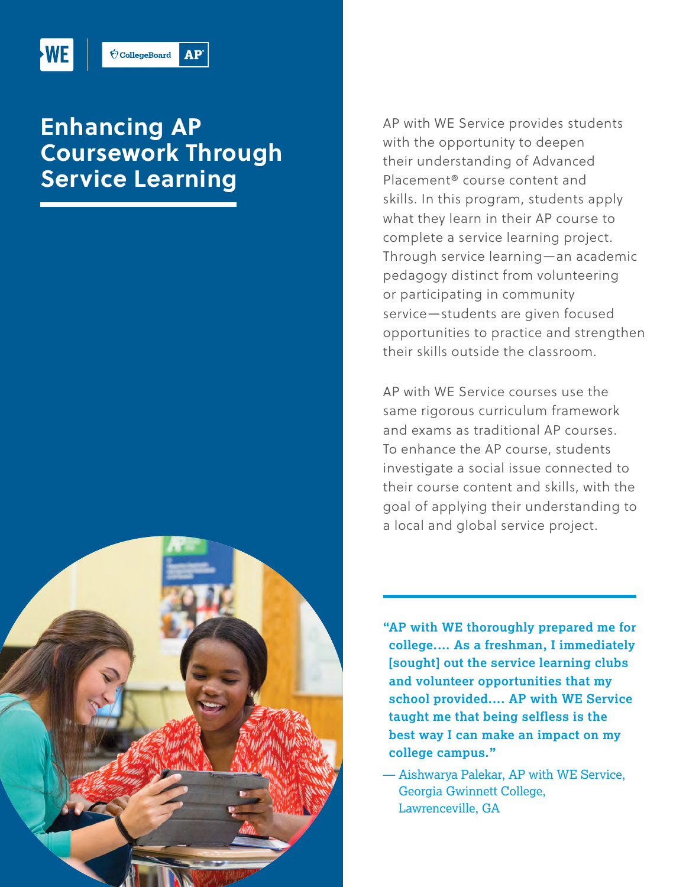

 $\acute{\nabla}$ CollegeBoard  $AP<sup>2</sup>$ 

## **Enhancing AP Coursework Through Service Learning**



AP with WE Service provides students with the opportunity to deepen their understanding of Advanced Placement® course content and skills. In this program, students apply what they learn in their AP course to complete a service learning project. Through service learning—an academic pedagogy distinct from volunteering or participating in community service—students are given focused opportunities to practice and strengthen their skills outside the classroom.

AP with WE Service courses use the same rigorous curriculum framework and exams as traditional AP courses. To enhance the AP course, students investigate a social issue connected to their course content and skills, with the goal of applying their understanding to a local and global service project.

**"AP with WE thoroughly prepared me for college.… As a freshman, I immediately [sought] out the service learning clubs and volunteer opportunities that my school provided.... AP with WE Service taught me that being selfless is the best way I can make an impact on my college campus."** 

— Aishwarya Palekar, AP with WE Service, Georgia Gwinnett College, Lawrenceville, GA